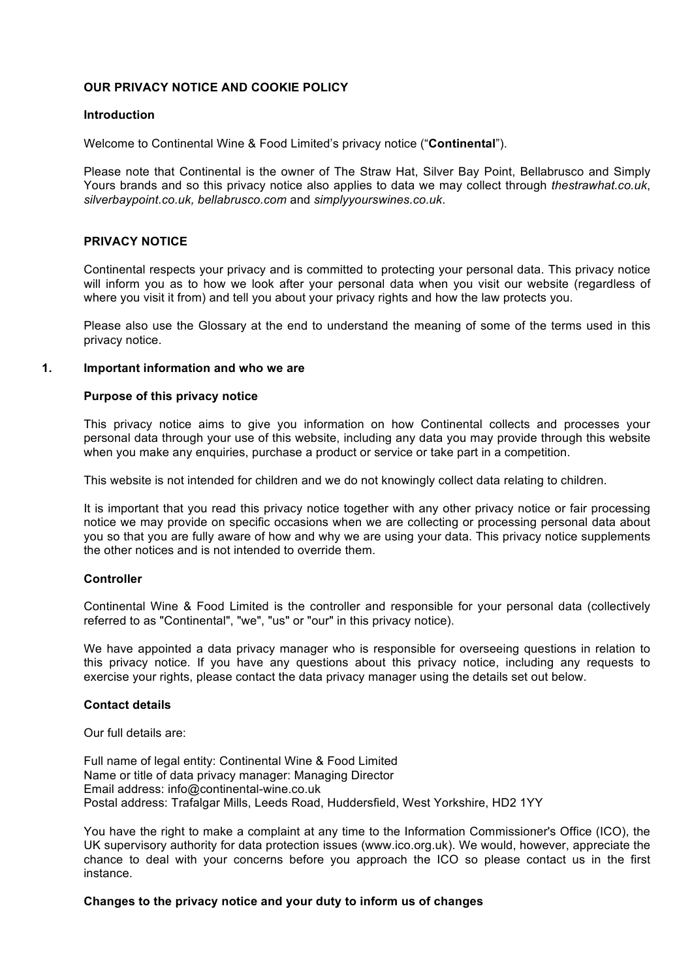# **OUR PRIVACY NOTICE AND COOKIE POLICY**

### **Introduction**

Welcome to Continental Wine & Food Limited's privacy notice ("**Continental**").

Please note that Continental is the owner of The Straw Hat, Silver Bay Point, Bellabrusco and Simply Yours brands and so this privacy notice also applies to data we may collect through *thestrawhat.co.uk*, *silverbaypoint.co.uk, bellabrusco.com* and *simplyyourswines.co.uk*.

### **PRIVACY NOTICE**

Continental respects your privacy and is committed to protecting your personal data. This privacy notice will inform you as to how we look after your personal data when you visit our website (regardless of where you visit it from) and tell you about your privacy rights and how the law protects you.

Please also use the Glossary at the end to understand the meaning of some of the terms used in this privacy notice.

#### **1. Important information and who we are**

#### **Purpose of this privacy notice**

This privacy notice aims to give you information on how Continental collects and processes your personal data through your use of this website, including any data you may provide through this website when you make any enquiries, purchase a product or service or take part in a competition.

This website is not intended for children and we do not knowingly collect data relating to children.

It is important that you read this privacy notice together with any other privacy notice or fair processing notice we may provide on specific occasions when we are collecting or processing personal data about you so that you are fully aware of how and why we are using your data. This privacy notice supplements the other notices and is not intended to override them.

#### **Controller**

Continental Wine & Food Limited is the controller and responsible for your personal data (collectively referred to as "Continental", "we", "us" or "our" in this privacy notice).

We have appointed a data privacy manager who is responsible for overseeing questions in relation to this privacy notice. If you have any questions about this privacy notice, including any requests to exercise your rights, please contact the data privacy manager using the details set out below.

#### **Contact details**

Our full details are:

Full name of legal entity: Continental Wine & Food Limited Name or title of data privacy manager: Managing Director Email address: info@continental-wine.co.uk Postal address: Trafalgar Mills, Leeds Road, Huddersfield, West Yorkshire, HD2 1YY

You have the right to make a complaint at any time to the Information Commissioner's Office (ICO), the UK supervisory authority for data protection issues (www.ico.org.uk). We would, however, appreciate the chance to deal with your concerns before you approach the ICO so please contact us in the first instance.

#### **Changes to the privacy notice and your duty to inform us of changes**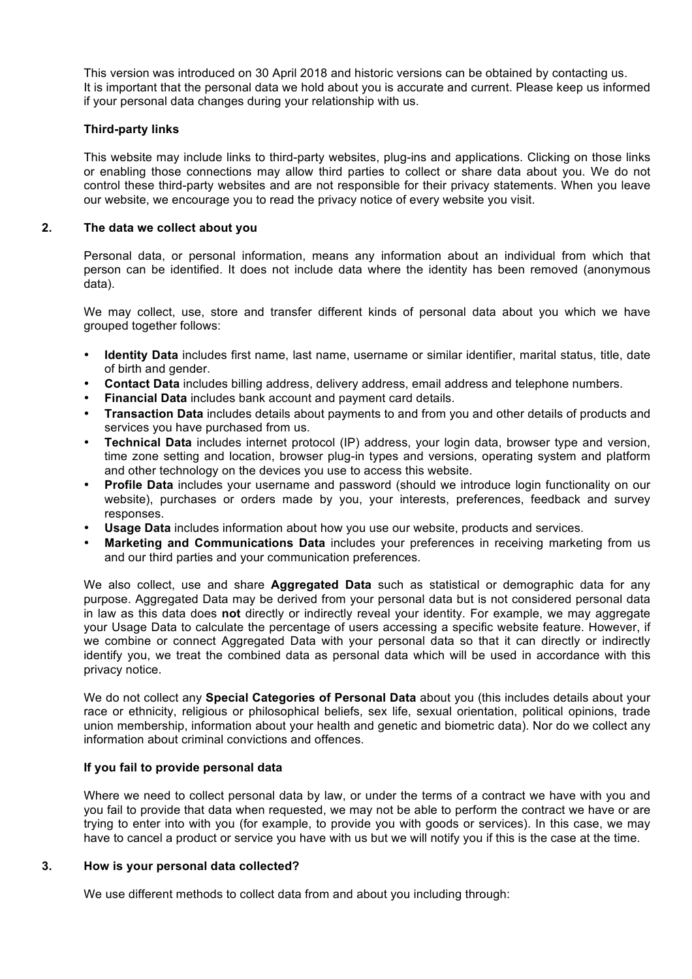This version was introduced on 30 April 2018 and historic versions can be obtained by contacting us. It is important that the personal data we hold about you is accurate and current. Please keep us informed if your personal data changes during your relationship with us.

# **Third-party links**

This website may include links to third-party websites, plug-ins and applications. Clicking on those links or enabling those connections may allow third parties to collect or share data about you. We do not control these third-party websites and are not responsible for their privacy statements. When you leave our website, we encourage you to read the privacy notice of every website you visit.

# **2. The data we collect about you**

Personal data, or personal information, means any information about an individual from which that person can be identified. It does not include data where the identity has been removed (anonymous data).

We may collect, use, store and transfer different kinds of personal data about you which we have grouped together follows:

- **Identity Data** includes first name, last name, username or similar identifier, marital status, title, date of birth and gender.
- **Contact Data** includes billing address, delivery address, email address and telephone numbers.
- **Financial Data** includes bank account and payment card details.
- **Transaction Data** includes details about payments to and from you and other details of products and services you have purchased from us.
- **Technical Data** includes internet protocol (IP) address, your login data, browser type and version, time zone setting and location, browser plug-in types and versions, operating system and platform and other technology on the devices you use to access this website.
- **Profile Data** includes your username and password (should we introduce login functionality on our website), purchases or orders made by you, your interests, preferences, feedback and survey responses.
- **Usage Data** includes information about how you use our website, products and services.
- **Marketing and Communications Data** includes your preferences in receiving marketing from us and our third parties and your communication preferences.

We also collect, use and share **Aggregated Data** such as statistical or demographic data for any purpose. Aggregated Data may be derived from your personal data but is not considered personal data in law as this data does **not** directly or indirectly reveal your identity. For example, we may aggregate your Usage Data to calculate the percentage of users accessing a specific website feature. However, if we combine or connect Aggregated Data with your personal data so that it can directly or indirectly identify you, we treat the combined data as personal data which will be used in accordance with this privacy notice.

We do not collect any **Special Categories of Personal Data** about you (this includes details about your race or ethnicity, religious or philosophical beliefs, sex life, sexual orientation, political opinions, trade union membership, information about your health and genetic and biometric data). Nor do we collect any information about criminal convictions and offences.

# **If you fail to provide personal data**

Where we need to collect personal data by law, or under the terms of a contract we have with you and you fail to provide that data when requested, we may not be able to perform the contract we have or are trying to enter into with you (for example, to provide you with goods or services). In this case, we may have to cancel a product or service you have with us but we will notify you if this is the case at the time.

# **3. How is your personal data collected?**

We use different methods to collect data from and about you including through: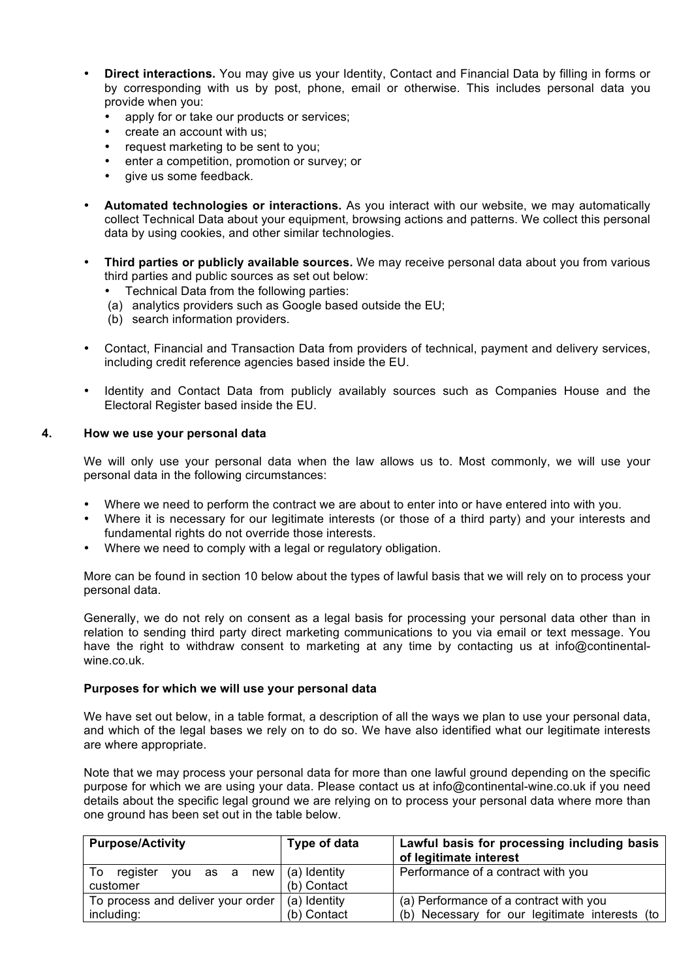- **Direct interactions.** You may give us your Identity, Contact and Financial Data by filling in forms or by corresponding with us by post, phone, email or otherwise. This includes personal data you provide when you:
	- apply for or take our products or services;
	- create an account with us;
	- request marketing to be sent to you;
	- enter a competition, promotion or survey; or
	- give us some feedback.
- **Automated technologies or interactions.** As you interact with our website, we may automatically collect Technical Data about your equipment, browsing actions and patterns. We collect this personal data by using cookies, and other similar technologies.
- **Third parties or publicly available sources.** We may receive personal data about you from various third parties and public sources as set out below:
	- Technical Data from the following parties:
	- (a) analytics providers such as Google based outside the EU;
	- (b) search information providers.
- Contact, Financial and Transaction Data from providers of technical, payment and delivery services, including credit reference agencies based inside the EU.
- Identity and Contact Data from publicly availably sources such as Companies House and the Electoral Register based inside the EU.

# **4. How we use your personal data**

We will only use your personal data when the law allows us to. Most commonly, we will use your personal data in the following circumstances:

- Where we need to perform the contract we are about to enter into or have entered into with you.
- Where it is necessary for our legitimate interests (or those of a third party) and your interests and fundamental rights do not override those interests.
- Where we need to comply with a legal or regulatory obligation.

More can be found in section 10 below about the types of lawful basis that we will rely on to process your personal data.

Generally, we do not rely on consent as a legal basis for processing your personal data other than in relation to sending third party direct marketing communications to you via email or text message. You have the right to withdraw consent to marketing at any time by contacting us at info@continentalwine.co.uk.

# **Purposes for which we will use your personal data**

We have set out below, in a table format, a description of all the ways we plan to use your personal data, and which of the legal bases we rely on to do so. We have also identified what our legitimate interests are where appropriate.

Note that we may process your personal data for more than one lawful ground depending on the specific purpose for which we are using your data. Please contact us at info@continental-wine.co.uk if you need details about the specific legal ground we are relying on to process your personal data where more than one ground has been set out in the table below.

| <b>Purpose/Activity</b>                           | Type of data                | Lawful basis for processing including basis<br>of legitimate interest                    |
|---------------------------------------------------|-----------------------------|------------------------------------------------------------------------------------------|
| register<br>To:<br>you as a new<br>customer       | (a) Identity<br>(b) Contact | Performance of a contract with you                                                       |
| To process and deliver your order  <br>including: | (a) Identity<br>(b) Contact | (a) Performance of a contract with you<br>(b) Necessary for our legitimate interests (to |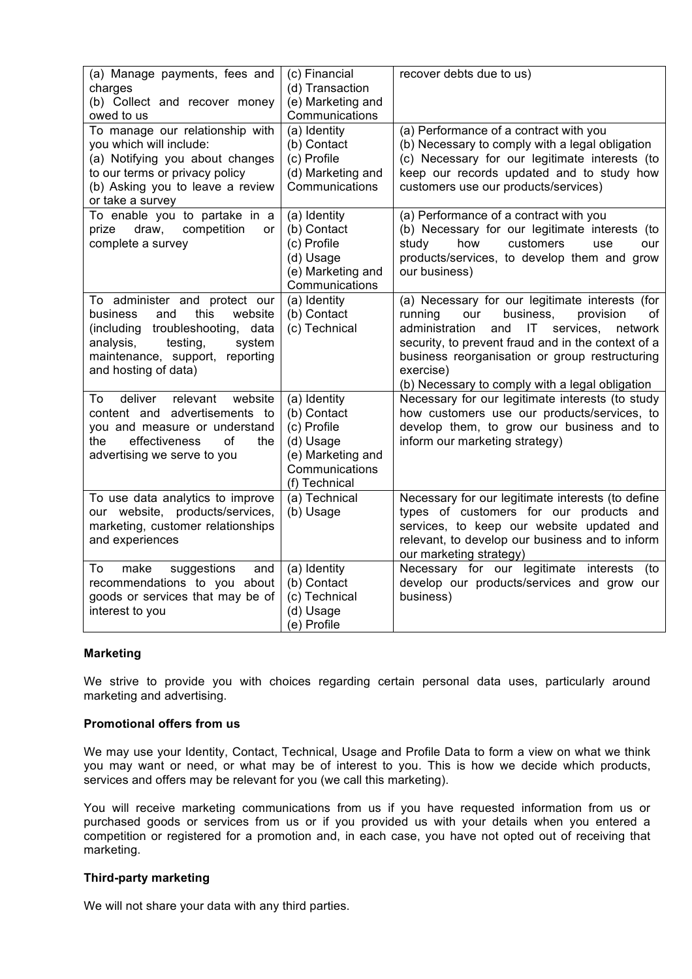| (a) Manage payments, fees and<br>charges<br>(b) Collect and recover money<br>owed to us                                                                                                                  | (c) Financial<br>(d) Transaction<br>(e) Marketing and<br>Communications                                         | recover debts due to us)                                                                                                                                                                                                                                                                                                         |
|----------------------------------------------------------------------------------------------------------------------------------------------------------------------------------------------------------|-----------------------------------------------------------------------------------------------------------------|----------------------------------------------------------------------------------------------------------------------------------------------------------------------------------------------------------------------------------------------------------------------------------------------------------------------------------|
| To manage our relationship with<br>you which will include:<br>(a) Notifying you about changes<br>to our terms or privacy policy<br>(b) Asking you to leave a review<br>or take a survey                  | (a) Identity<br>(b) Contact<br>(c) Profile<br>(d) Marketing and<br>Communications                               | (a) Performance of a contract with you<br>(b) Necessary to comply with a legal obligation<br>(c) Necessary for our legitimate interests (to<br>keep our records updated and to study how<br>customers use our products/services)                                                                                                 |
| To enable you to partake in a<br>competition<br>draw,<br>prize<br>or<br>complete a survey                                                                                                                | (a) Identity<br>(b) Contact<br>(c) Profile<br>(d) Usage<br>(e) Marketing and<br>Communications                  | (a) Performance of a contract with you<br>(b) Necessary for our legitimate interests (to<br>customers<br>study<br>how<br>use<br>our<br>products/services, to develop them and grow<br>our business)                                                                                                                              |
| To administer and protect our<br>this<br>business<br>and<br>website<br>troubleshooting, data<br>(including<br>analysis,<br>testing,<br>system<br>maintenance, support, reporting<br>and hosting of data) | (a) Identity<br>(b) Contact<br>(c) Technical                                                                    | (a) Necessary for our legitimate interests (for<br>business,<br>provision<br>running<br>our<br>οf<br>administration<br>and<br>IT<br>services,<br>network<br>security, to prevent fraud and in the context of a<br>business reorganisation or group restructuring<br>exercise)<br>(b) Necessary to comply with a legal obligation |
| deliver<br>To<br>relevant<br>website<br>content and advertisements to<br>you and measure or understand<br>effectiveness<br>of<br>the<br>the<br>advertising we serve to you                               | (a) Identity<br>(b) Contact<br>(c) Profile<br>(d) Usage<br>(e) Marketing and<br>Communications<br>(f) Technical | Necessary for our legitimate interests (to study<br>how customers use our products/services, to<br>develop them, to grow our business and to<br>inform our marketing strategy)                                                                                                                                                   |
| To use data analytics to improve<br>our website, products/services,<br>marketing, customer relationships<br>and experiences                                                                              | (a) Technical<br>(b) Usage                                                                                      | Necessary for our legitimate interests (to define<br>types of customers for our products and<br>services, to keep our website updated and<br>relevant, to develop our business and to inform<br>our marketing strategy)                                                                                                          |
| To<br>make<br>suggestions<br>and<br>recommendations to you about<br>goods or services that may be of<br>interest to you                                                                                  | (a) Identity<br>(b) Contact<br>(c) Technical<br>(d) Usage<br>(e) Profile                                        | Necessary for our legitimate interests<br>(to<br>develop our products/services and grow our<br>business)                                                                                                                                                                                                                         |

# **Marketing**

We strive to provide you with choices regarding certain personal data uses, particularly around marketing and advertising.

### **Promotional offers from us**

We may use your Identity, Contact, Technical, Usage and Profile Data to form a view on what we think you may want or need, or what may be of interest to you. This is how we decide which products, services and offers may be relevant for you (we call this marketing).

You will receive marketing communications from us if you have requested information from us or purchased goods or services from us or if you provided us with your details when you entered a competition or registered for a promotion and, in each case, you have not opted out of receiving that marketing.

# **Third-party marketing**

We will not share your data with any third parties.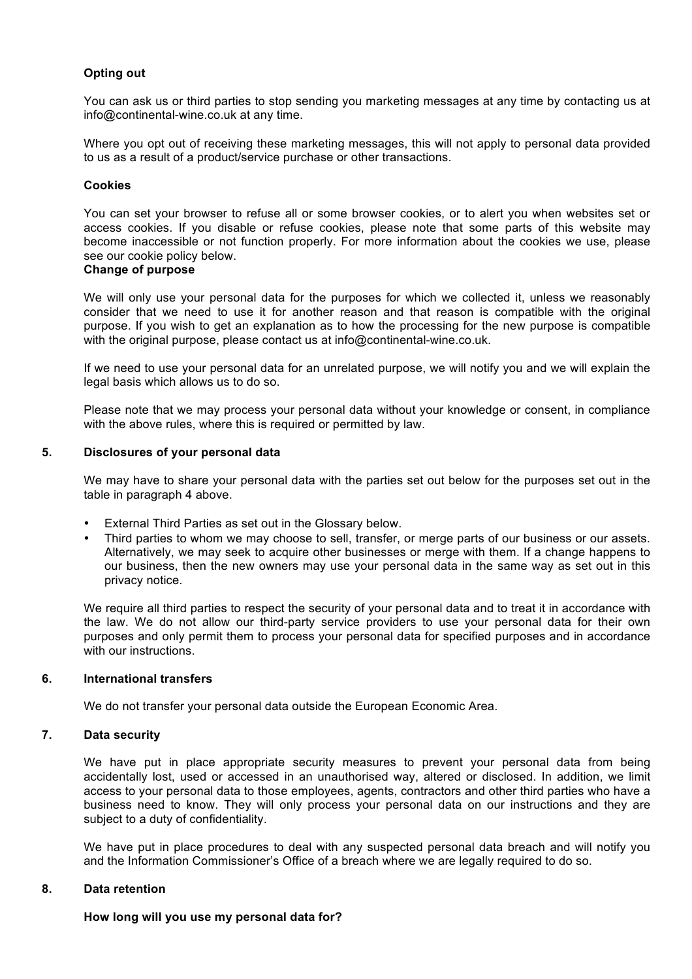# **Opting out**

You can ask us or third parties to stop sending you marketing messages at any time by contacting us at info@continental-wine.co.uk at any time.

Where you opt out of receiving these marketing messages, this will not apply to personal data provided to us as a result of a product/service purchase or other transactions.

### **Cookies**

You can set your browser to refuse all or some browser cookies, or to alert you when websites set or access cookies. If you disable or refuse cookies, please note that some parts of this website may become inaccessible or not function properly. For more information about the cookies we use, please see our cookie policy below.

# **Change of purpose**

We will only use your personal data for the purposes for which we collected it, unless we reasonably consider that we need to use it for another reason and that reason is compatible with the original purpose. If you wish to get an explanation as to how the processing for the new purpose is compatible with the original purpose, please contact us at info@continental-wine.co.uk.

If we need to use your personal data for an unrelated purpose, we will notify you and we will explain the legal basis which allows us to do so.

Please note that we may process your personal data without your knowledge or consent, in compliance with the above rules, where this is required or permitted by law.

### **5. Disclosures of your personal data**

We may have to share your personal data with the parties set out below for the purposes set out in the table in paragraph 4 above.

- External Third Parties as set out in the Glossary below.
- Third parties to whom we may choose to sell, transfer, or merge parts of our business or our assets. Alternatively, we may seek to acquire other businesses or merge with them. If a change happens to our business, then the new owners may use your personal data in the same way as set out in this privacy notice.

We require all third parties to respect the security of your personal data and to treat it in accordance with the law. We do not allow our third-party service providers to use your personal data for their own purposes and only permit them to process your personal data for specified purposes and in accordance with our instructions.

#### **6. International transfers**

We do not transfer your personal data outside the European Economic Area.

# **7. Data security**

We have put in place appropriate security measures to prevent your personal data from being accidentally lost, used or accessed in an unauthorised way, altered or disclosed. In addition, we limit access to your personal data to those employees, agents, contractors and other third parties who have a business need to know. They will only process your personal data on our instructions and they are subject to a duty of confidentiality.

We have put in place procedures to deal with any suspected personal data breach and will notify you and the Information Commissioner's Office of a breach where we are legally required to do so.

# **8. Data retention**

# **How long will you use my personal data for?**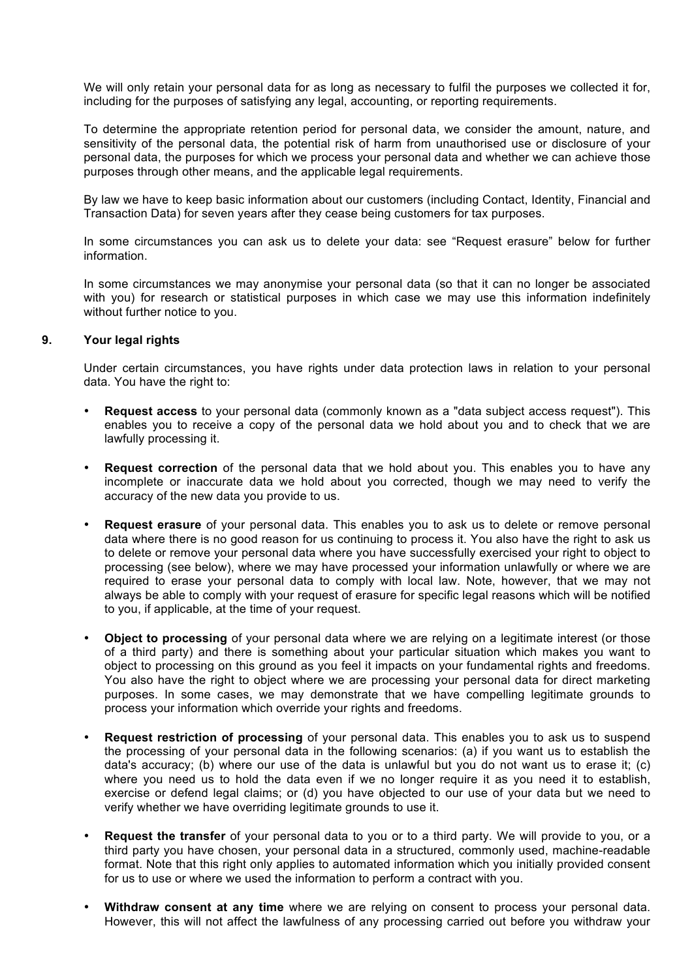We will only retain your personal data for as long as necessary to fulfil the purposes we collected it for, including for the purposes of satisfying any legal, accounting, or reporting requirements.

To determine the appropriate retention period for personal data, we consider the amount, nature, and sensitivity of the personal data, the potential risk of harm from unauthorised use or disclosure of your personal data, the purposes for which we process your personal data and whether we can achieve those purposes through other means, and the applicable legal requirements.

By law we have to keep basic information about our customers (including Contact, Identity, Financial and Transaction Data) for seven years after they cease being customers for tax purposes.

In some circumstances you can ask us to delete your data: see "Request erasure" below for further information.

In some circumstances we may anonymise your personal data (so that it can no longer be associated with you) for research or statistical purposes in which case we may use this information indefinitely without further notice to you.

### **9. Your legal rights**

Under certain circumstances, you have rights under data protection laws in relation to your personal data. You have the right to:

- **Request access** to your personal data (commonly known as a "data subject access request"). This enables you to receive a copy of the personal data we hold about you and to check that we are lawfully processing it.
- **Request correction** of the personal data that we hold about you. This enables you to have any incomplete or inaccurate data we hold about you corrected, though we may need to verify the accuracy of the new data you provide to us.
- **Request erasure** of your personal data. This enables you to ask us to delete or remove personal data where there is no good reason for us continuing to process it. You also have the right to ask us to delete or remove your personal data where you have successfully exercised your right to object to processing (see below), where we may have processed your information unlawfully or where we are required to erase your personal data to comply with local law. Note, however, that we may not always be able to comply with your request of erasure for specific legal reasons which will be notified to you, if applicable, at the time of your request.
- **Object to processing** of your personal data where we are relying on a legitimate interest (or those of a third party) and there is something about your particular situation which makes you want to object to processing on this ground as you feel it impacts on your fundamental rights and freedoms. You also have the right to object where we are processing your personal data for direct marketing purposes. In some cases, we may demonstrate that we have compelling legitimate grounds to process your information which override your rights and freedoms.
- **Request restriction of processing** of your personal data. This enables you to ask us to suspend the processing of your personal data in the following scenarios: (a) if you want us to establish the data's accuracy; (b) where our use of the data is unlawful but you do not want us to erase it; (c) where you need us to hold the data even if we no longer require it as you need it to establish, exercise or defend legal claims; or (d) you have objected to our use of your data but we need to verify whether we have overriding legitimate grounds to use it.
- **Request the transfer** of your personal data to you or to a third party. We will provide to you, or a third party you have chosen, your personal data in a structured, commonly used, machine-readable format. Note that this right only applies to automated information which you initially provided consent for us to use or where we used the information to perform a contract with you.
- **Withdraw consent at any time** where we are relying on consent to process your personal data. However, this will not affect the lawfulness of any processing carried out before you withdraw your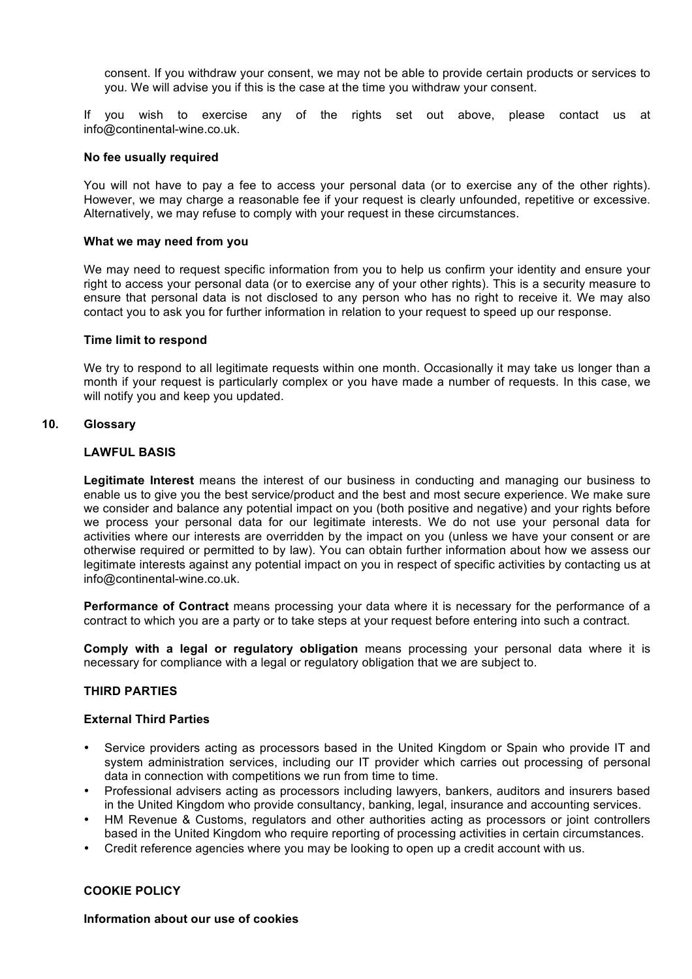consent. If you withdraw your consent, we may not be able to provide certain products or services to you. We will advise you if this is the case at the time you withdraw your consent.

If you wish to exercise any of the rights set out above, please contact us at info@continental-wine.co.uk.

#### **No fee usually required**

You will not have to pay a fee to access your personal data (or to exercise any of the other rights). However, we may charge a reasonable fee if your request is clearly unfounded, repetitive or excessive. Alternatively, we may refuse to comply with your request in these circumstances.

#### **What we may need from you**

We may need to request specific information from you to help us confirm your identity and ensure your right to access your personal data (or to exercise any of your other rights). This is a security measure to ensure that personal data is not disclosed to any person who has no right to receive it. We may also contact you to ask you for further information in relation to your request to speed up our response.

#### **Time limit to respond**

We try to respond to all legitimate requests within one month. Occasionally it may take us longer than a month if your request is particularly complex or you have made a number of requests. In this case, we will notify you and keep you updated.

### **10. Glossary**

### **LAWFUL BASIS**

**Legitimate Interest** means the interest of our business in conducting and managing our business to enable us to give you the best service/product and the best and most secure experience. We make sure we consider and balance any potential impact on you (both positive and negative) and your rights before we process your personal data for our legitimate interests. We do not use your personal data for activities where our interests are overridden by the impact on you (unless we have your consent or are otherwise required or permitted to by law). You can obtain further information about how we assess our legitimate interests against any potential impact on you in respect of specific activities by contacting us at info@continental-wine.co.uk.

**Performance of Contract** means processing your data where it is necessary for the performance of a contract to which you are a party or to take steps at your request before entering into such a contract.

**Comply with a legal or regulatory obligation** means processing your personal data where it is necessary for compliance with a legal or regulatory obligation that we are subject to.

# **THIRD PARTIES**

### **External Third Parties**

- Service providers acting as processors based in the United Kingdom or Spain who provide IT and system administration services, including our IT provider which carries out processing of personal data in connection with competitions we run from time to time.
- Professional advisers acting as processors including lawyers, bankers, auditors and insurers based in the United Kingdom who provide consultancy, banking, legal, insurance and accounting services.
- HM Revenue & Customs, regulators and other authorities acting as processors or joint controllers based in the United Kingdom who require reporting of processing activities in certain circumstances.
- Credit reference agencies where you may be looking to open up a credit account with us.

# **COOKIE POLICY**

#### **Information about our use of cookies**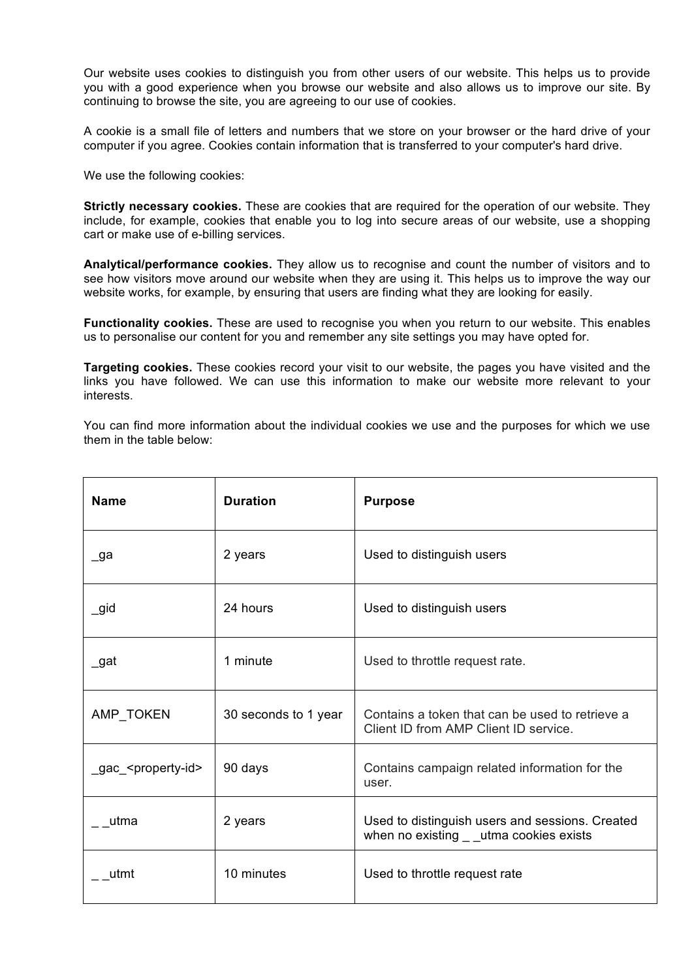Our website uses cookies to distinguish you from other users of our website. This helps us to provide you with a good experience when you browse our website and also allows us to improve our site. By continuing to browse the site, you are agreeing to our use of cookies.

A cookie is a small file of letters and numbers that we store on your browser or the hard drive of your computer if you agree. Cookies contain information that is transferred to your computer's hard drive.

We use the following cookies:

**Strictly necessary cookies.** These are cookies that are required for the operation of our website. They include, for example, cookies that enable you to log into secure areas of our website, use a shopping cart or make use of e-billing services.

**Analytical/performance cookies.** They allow us to recognise and count the number of visitors and to see how visitors move around our website when they are using it. This helps us to improve the way our website works, for example, by ensuring that users are finding what they are looking for easily.

**Functionality cookies.** These are used to recognise you when you return to our website. This enables us to personalise our content for you and remember any site settings you may have opted for.

**Targeting cookies.** These cookies record your visit to our website, the pages you have visited and the links you have followed. We can use this information to make our website more relevant to your interests.

You can find more information about the individual cookies we use and the purposes for which we use them in the table below:

| <b>Name</b>                       | <b>Duration</b>      | <b>Purpose</b>                                                                            |
|-----------------------------------|----------------------|-------------------------------------------------------------------------------------------|
| _ga                               | 2 years              | Used to distinguish users                                                                 |
| _gid                              | 24 hours             | Used to distinguish users                                                                 |
| _gat                              | 1 minute             | Used to throttle request rate.                                                            |
| AMP_TOKEN                         | 30 seconds to 1 year | Contains a token that can be used to retrieve a<br>Client ID from AMP Client ID service.  |
| _gac_ <property-id></property-id> | 90 days              | Contains campaign related information for the<br>user.                                    |
| utma                              | 2 years              | Used to distinguish users and sessions. Created<br>when no existing __utma cookies exists |
| utmt                              | 10 minutes           | Used to throttle request rate                                                             |